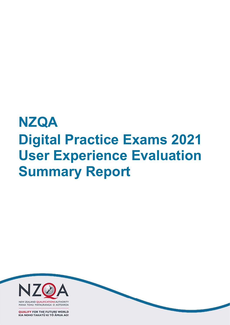# **NZQA** Digital Practice Exams 2021 User Experience Evaluation Summary Report



MANA TOHU MATAURANGA O AOTEAROA

**QUALIFY FOR THE FUTURE WORLD** KIA NOHO TAKATŮ KI TỔ ĂMUA AO!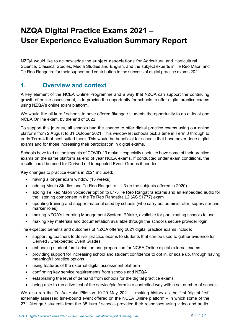# NZQA Digital Practice Exams 2021 – User Experience Evaluation Summary Report

NZQA would like to acknowledge the subject associations for Agricultural and Horticultural Science, Classical Studies, Media Studies and English, and the subject experts in Te Reo Māori and Te Reo Rangatira for their support and contribution to the success of digital practice exams 2021.

# 1. Overview and context

A key element of the NCEA Online Programme and a way that NZQA can support the continuing growth of online assessment, is to provide the opportunity for schools to offer digital practice exams using NZQA's online exam platform.

We would like all kura / schools to have offered ākonga / students the opportunity to do at least one NCEA Online exam, by the end of 2022.

To support this journey, all schools had the chance to offer digital practice exams using our online platform from 2 August to 31 October 2021. This window let schools pick a time in Term 3 through to early Term 4 that best suited them. This would be beneficial for schools that have never done digital exams and for those increasing their participation in digital exams.

Schools have told us the impacts of COVID-19 make it especially useful to have some of their practice exams on the same platform as end of year NCEA exams. If conducted under exam conditions, the results could be used for Derived or Unexpected Event Grades if needed.

Key changes to practice exams in 2021 included:

- having a longer exam window (13 weeks)
- adding Media Studies and Te Reo Rangatira L1-3 (to the subjects offered in 2020)
- adding Te Reo Māori voiceover option to L1-3 Te Reo Rangatira exams and an embedded audio for the listening component in the Te Reo Rangatira L2 (AS 91777) exam
- updating training and support material used by schools (who carry out administrator, supervisor and marker roles)
- making NZQA's Learning Management System, Pūtake, available for participating schools to use
- making key materials and documentation available through the school's secure provider login.

The expected benefits and outcomes of NZQA offering 2021 digital practice exams include:

- supporting teachers to deliver practice exams to students that can be used to gather evidence for Derived / Unexpected Event Grades
- enhancing student familiarisation and preparation for NCEA Online digital external exams
- providing support for increasing school and student confidence to opt in, or scale up, through having meaningful practice options
- using features of the external digital assessment platform
- confirming key service requirements from schools and NZQA
- establishing the level of demand from schools for the digital practice exams
- being able to run a live test of the service/platform in a controlled way with a set number of schools.

We also ran the Te Ao Haka Pilot on 19-20 May 2021 – making history as the first 'digital-first' externally assessed time-bound event offered on the NCEA Online platform – in which some of the 271 ākonga / students from the 35 kura / schools provided their responses using video and audio.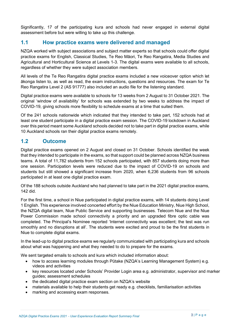Significantly, 17 of the participating kura and schools had never engaged in external digital assessment before but were willing to take up this challenge.

# 1.1 How practice exams were delivered and managed

NZQA worked with subject associations and subject matter experts so that schools could offer digital practice exams for English, Classical Studies, Te Reo Māori, Te Reo Rangatira, Media Studies and Agricultural and Horticultural Science at Levels 1-3. The digital exams were available to all schools, regardless of whether they were subject association members.

All levels of the Te Reo Rangatira digital practice exams included a new voiceover option which let ākonga listen to, as well as read, the exam instructions, questions and resources. The exam for Te Reo Rangatira Level 2 (AS 91777) also included an audio file for the listening standard.

Digital practice exams were available to schools for 13 weeks from 2 August to 31 October 2021. The original 'window of availability' for schools was extended by two weeks to address the impact of COVID-19, giving schools more flexibility to schedule exams at a time that suited them.

Of the 241 schools nationwide which indicated that they intended to take part, 152 schools had at least one student participate in a digital practice exam session. The COVID-19 lockdown in Auckland over this period meant some Auckland schools decided not to take part in digital practice exams, while 10 Auckland schools ran their digital practice exams remotely.

## 1.2 Outcome

Digital practice exams opened on 2 August and closed on 31 October. Schools identified the week that they intended to participate in the exams, so that support could be planned across NZQA business teams. A total of 11,782 students from 152 schools participated, with 857 students doing more than one session. Participation levels were reduced due to the impact of COVID-19 on schools and students but still showed a significant increase from 2020, when 6,236 students from 96 schools participated in at least one digital practice exam.

Of the 188 schools outside Auckland who had planned to take part in the 2021 digital practice exams, 142 did.

For the first time, a school in Niue participated in digital practice exams, with 14 students doing Level 1 English. This experience involved concerted effort by the Niue Education Ministry, Niue High School, the NZQA digital team, Niue Public Service and supporting businesses. Telecom Niue and the Niue Power Commission made school connectivity a priority and an upgraded fibre optic cable was completed. The Principal's Nominee reported 'Internet connectivity was excellent; the test was run smoothly and no disruptions at all'. The students were excited and proud to be the first students in Niue to complete digital exams.

In the lead-up to digital practice exams we regularly communicated with participating kura and schools about what was happening and what they needed to do to prepare for the exams.

We sent targeted emails to schools and kura which included information about:

- how to access learning modules through Pūtake (NZQA's Learning Management System) e.g. videos and activities
- key resources located under Schools' Provider Login area e.g. administrator, supervisor and marker guides; assessment schedules
- the dedicated digital practice exam section on NZQA's website
- materials available to help their students get ready e.g. checklists, familiarisation activities
- marking and accessing exam responses.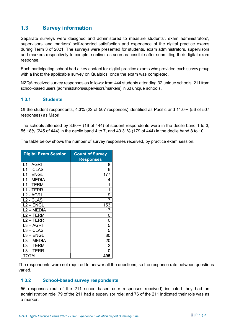# 1.3 Survey information

Separate surveys were designed and administered to measure students', exam administrators', supervisors' and markers' self-reported satisfaction and experience of the digital practice exams during Term 3 of 2021. The surveys were presented for students, exam administrators, supervisors and markers respectively to complete online, as soon as possible after submitting their digital exam response.

Each participating school had a key contact for digital practice exams who provided each survey group with a link to the applicable survey on Qualtrics, once the exam was completed.

NZQA received survey responses as follows: from 444 students attending 32 unique schools; 211 from school-based users (administrators/supervisors/markers) in 63 unique schools.

### 1.3.1 Students

Of the student respondents, 4.3% (22 of 507 responses) identified as Pacific and 11.0% (56 of 507 responses) as Māori.

The schools attended by 3.60% (16 of 444) of student respondents were in the decile band 1 to 3, 55.18% (245 of 444) in the decile band 4 to 7, and 40.31% (179 of 444) in the decile band 8 to 10.

The table below shows the number of survey responses received, by practice exam session.

| <b>Digital Exam Session</b> | <b>Count of Survey</b><br><b>Responses</b> |
|-----------------------------|--------------------------------------------|
| L1 - AGRI                   | 8                                          |
| $L1 - CLAS$                 | 6                                          |
| 1 - ENGL                    | 177                                        |
| - MEDIA                     | 4                                          |
| 1 - TERM                    | 1                                          |
| 1 - TERR                    | 1                                          |
| L <sub>2</sub> - AGRI       | 9                                          |
| L <sub>2</sub> - CLAS       | 7                                          |
| $L2 - ENGL$                 | 153                                        |
| L2 - MEDIA                  | 17                                         |
| L2 - TERM                   | 0                                          |
| $L2 - TERR$                 | 0                                          |
| $L3 - AGRI$                 | 5                                          |
| $L3 - CLAS$                 | 5                                          |
| $L3 - ENGL$                 | 80                                         |
| L3 - MEDIA                  | 20                                         |
| $L3 - TERM$                 | 2                                          |
| L3 – TERR                   | N                                          |
| <b>TOTAL</b>                | 495                                        |

The respondents were not required to answer all the questions, so the response rate between questions varied.

### 1.3.2 School-based survey respondents

56 responses (out of the 211 school-based user responses received) indicated they had an administration role; 79 of the 211 had a supervisor role; and 76 of the 211 indicated their role was as a marker.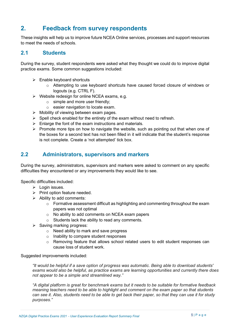# 2. Feedback from survey respondents

These insights will help us to improve future NCEA Online services, processes and support resources to meet the needs of schools.

## 2.1 Students

During the survey, student respondents were asked what they thought we could do to improve digital practice exams. Some common suggestions included:

- $\triangleright$  Enable keyboard shortcuts
	- o Attempting to use keyboard shortcuts have caused forced closure of windows or logouts (e.g. CTRL F).
- $\triangleright$  Website redesign for online NCEA exams, e.g.
	- $\circ$  simple and more user friendly;
	- o easier navigation to locate exam.
- $\triangleright$  Mobility of viewing between exam pages.
- $\triangleright$  Spell check enabled for the entirety of the exam without need to refresh.
- $\triangleright$  Enlarge the font of the exam instructions and materials.
- $\triangleright$  Promote more tips on how to navigate the website, such as pointing out that when one of the boxes for a second text has not been filled in it will indicate that the student's response is not complete. Create a 'not attempted' tick box.

## 2.2 Administrators, supervisors and markers

During the survey, administrators, supervisors and markers were asked to comment on any specific difficulties they encountered or any improvements they would like to see.

Specific difficulties included:

- $\triangleright$  Login issues.
- $\triangleright$  Print option feature needed.
- $\triangleright$  Ability to add comments:
	- $\circ$  Formative assessment difficult as highlighting and commenting throughout the exam papers was not optimal
	- o No ability to add comments on NCEA exam papers
	- o Students lack the ability to read any comments.
- $\triangleright$  Saving marking progress:
	- o Need ability to mark and save progress
	- o Inability to compare student responses
	- o Removing feature that allows school related users to edit student responses can cause loss of student work.

Suggested improvements included:

"It would be helpful if a save option of progress was automatic. Being able to download students' exams would also be helpful, as practice exams are learning opportunities and currently there does not appear to be a simple and streamlined way."

"A digital platform is great for benchmark exams but it needs to be suitable for formative feedback meaning teachers need to be able to highlight and comment on the exam paper so that students can see it. Also, students need to be able to get back their paper, so that they can use it for study purposes."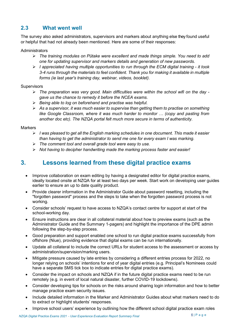# 2.3 What went well

The survey also asked administrators, supervisors and markers about anything else they found useful or helpful that had not already been mentioned. Here are some of their responses:

**Administrators** 

- $\triangleright$  The training modules on Pūtake were excellent and made things simple. You need to add one for updating supervisor and markers details and generation of new passwords.
- $\triangleright$  I appreciated having multiple opportunities to run through the ECM digital training it took 3-4 runs through the materials to feel confident. Thank you for making it available in multiple forms (ie last year's training day, webinar, videos, booklet).

#### **Supervisors**

- $\triangleright$  The preparation was very good. Main difficulties were within the school wifi on the day gave us the chance to remedy it before the NCEA exams.
- $\triangleright$  Being able to log on beforehand and practise was helpful.
- $\triangleright$  As a supervisor, it was much easier to supervise than getting them to practise on something like Google Classroom, where it was much harder to monitor … (copy and pasting from another doc etc). The NZQA portal felt much more secure in terms of authenticity.

#### **Markers**

- $\triangleright$  I was pleased to get all the English marking schedules in one document. This made it easier than having to get the administrator to send me one for every exam I was marking.
- $\triangleright$  The comment tool and overall grade tool were easy to use.
- $\triangleright$  Not having to decipher handwriting made the marking process faster and easier!

# 3. Lessons learned from these digital practice exams

- Improve collaboration on exam editing by having a designated editor for digital practice exams, ideally located onsite at NZQA for at least two days per week. Start work on developing user guides earlier to ensure an up to date quality product.
- Provide clearer information in the Administrator Guide about password resetting, including the "forgotten password" process and the steps to take when the forgotten password process is not working.
- Consider schools' request to have access to NZQA's contact centre for support at start of the school-working day.
- Ensure instructions are clear in all collateral material about how to preview exams (such as the Administrator Guide and the Summary 1-pagers) and highlight the importance of the DPE admin following the step-by-step process.
- Good preparation and support enabled one school to run digital practice exams successfully from offshore (Niue), providing evidence that digital exams can be run internationally.
- Update all collateral to include the correct URLs for student access to the assessment or access by administration/supervision/marking users.
- Mitigate pressure caused by late entries by considering a different entries process for 2022, no longer relying on schools' intentions for end of year digital entries (e.g. Principal's Nominees could have a separate SMS tick box to indicate entries for digital practice exams).
- Consider the impact on schools and NZQA if in the future digital practice exams need to be run remotely (e.g. in event of local natural disaster, further COVID-19 lockdowns).
- Consider developing tips for schools on the risks around sharing login information and how to better manage practice exam security issues.
- Include detailed information in the Marker and Administrator Guides about what markers need to do to extract or highlight students' responses.
- Improve school users' experience by outlining how the different school digital practice exam roles